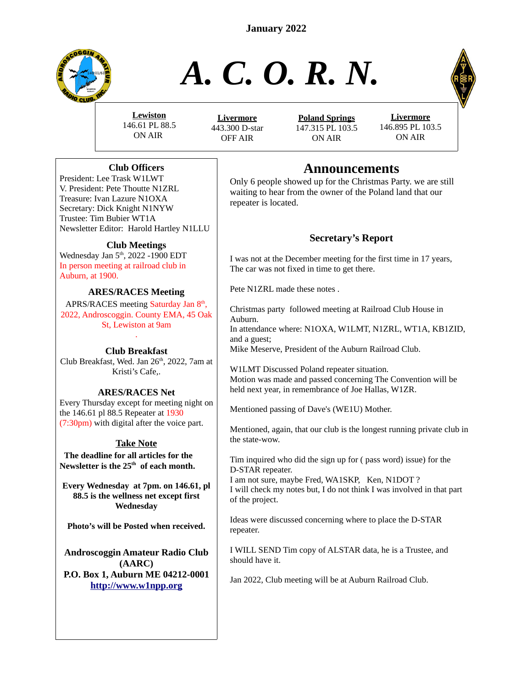**January 2022**



# *A. C. O. R. N.*

**Lewiston** 146.61 PL 88.5 ON AIR

**Livermore** 443.300 D-star OFF AIR

**Poland Springs** 147.315 PL 103.5 ON AIR



146.895 PL 103.5 ON AIR

### **Club Officers**

President: Lee Trask W1LWT V. President: Pete Thoutte N1ZRL Treasure: Ivan Lazure N1OXA Secretary: Dick Knight N1NYW Trustee: Tim Bubier WT1A Newsletter Editor: Harold Hartley N1LLU

#### **Club Meetings**

Wednesday Jan 5<sup>th</sup>, 2022 -1900 EDT In person meeting at railroad club in Auburn, at 1900.

#### **ARES/RACES Meeting**

APRS/RACES meeting Saturday Jan 8<sup>th</sup>, 2022, Androscoggin. County EMA, 45 Oak St, Lewiston at 9am

# . **Club Breakfast**

Club Breakfast, Wed. Jan 26<sup>th</sup>, 2022, 7am at Kristi's Cafe,.

#### **ARES/RACES Net**

Every Thursday except for meeting night on the 146.61 pl 88.5 Repeater at 1930 (7:30pm) with digital after the voice part.

## **Take Note**

 **The deadline for all articles for the Newsletter is the 25th of each month.**

**Every Wednesday at 7pm. on 146.61, pl 88.5 is the wellness net except first Wednesday**

**Photo's will be Posted when received.**

**Androscoggin Amateur Radio Club (AARC) P.O. Box 1, Auburn ME 04212-0001 [http://www.w1npp.org](http://www.w1npp.org/)**

# **Announcements**

Only 6 people showed up for the Christmas Party. we are still waiting to hear from the owner of the Poland land that our repeater is located.

# **Secretary's Report**

I was not at the December meeting for the first time in 17 years, The car was not fixed in time to get there.

Pete N1ZRL made these notes .

Christmas party followed meeting at Railroad Club House in Auburn. In attendance where: N1OXA, W1LMT, N1ZRL, WT1A, KB1ZID,

and a guest; Mike Meserve, President of the Auburn Railroad Club.

W1LMT Discussed Poland repeater situation. Motion was made and passed concerning The Convention will be held next year, in remembrance of Joe Hallas, W1ZR.

Mentioned passing of Dave's (WE1U) Mother.

Mentioned, again, that our club is the longest running private club in the state-wow.

Tim inquired who did the sign up for ( pass word) issue) for the D-STAR repeater.

I am not sure, maybe Fred, WA1SKP, Ken, N1DOT ? I will check my notes but, I do not think I was involved in that part of the project.

Ideas were discussed concerning where to place the D-STAR repeater.

I WILL SEND Tim copy of ALSTAR data, he is a Trustee, and should have it.

Jan 2022, Club meeting will be at Auburn Railroad Club.